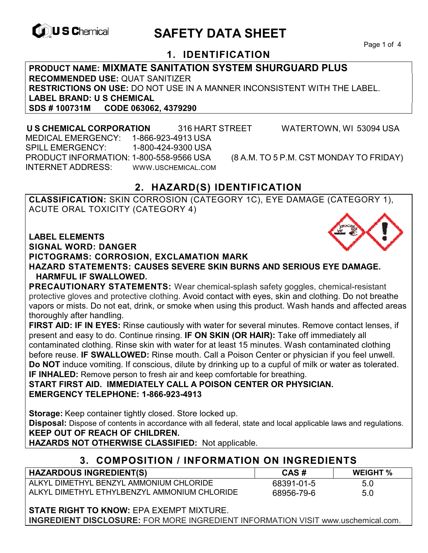

# **EXAGREM** SAFETY DATA SHEET

Page 1 of 4

#### **1. IDENTIFICATION**

**PRODUCT NAME: MIXMATE SANITATION SYSTEM SHURGUARD PLUS RECOMMENDED USE:** QUAT SANITIZER **RESTRICTIONS ON USE:** DO NOT USE IN A MANNER INCONSISTENT WITH THE LABEL. **LABEL BRAND: U S CHEMICAL SDS # 100731M CODE 063062, 4379290** 

 **U S CHEMICAL CORPORATION** 316 HART STREET WATERTOWN, WI 53094 USA MEDICAL EMERGENCY: 1-866-923-4913 USA SPILL EMERGENCY: 1-800-424-9300 USA PRODUCT INFORMATION: 1-800-558-9566 USA (8 A.M. TO 5 P.M. CST MONDAY TO FRIDAY) INTERNET ADDRESS: WWW.USCHEMICAL.COM

#### **2. HAZARD(S) IDENTIFICATION**

**CLASSIFICATION:** SKIN CORROSION (CATEGORY 1C), EYE DAMAGE (CATEGORY 1), ACUTE ORAL TOXICITY (CATEGORY 4)

**LABEL ELEMENTS** 

**SIGNAL WORD: DANGER**

**PICTOGRAMS: CORROSION, EXCLAMATION MARK**

**HAZARD STATEMENTS: CAUSES SEVERE SKIN BURNS AND SERIOUS EYE DAMAGE. HARMFUL IF SWALLOWED.** 

**PRECAUTIONARY STATEMENTS:** Wear chemical-splash safety goggles, chemical-resistant protective gloves and protective clothing. Avoid contact with eyes, skin and clothing. Do not breathe vapors or mists. Do not eat, drink, or smoke when using this product. Wash hands and affected areas thoroughly after handling.

**FIRST AID: IF IN EYES:** Rinse cautiously with water for several minutes. Remove contact lenses, if present and easy to do. Continue rinsing. **IF ON SKIN (OR HAIR):** Take off immediately all contaminated clothing. Rinse skin with water for at least 15 minutes. Wash contaminated clothing before reuse. **IF SWALLOWED:** Rinse mouth. Call a Poison Center or physician if you feel unwell. **Do NOT** induce vomiting. If conscious, dilute by drinking up to a cupful of milk or water as tolerated. **IF INHALED:** Remove person to fresh air and keep comfortable for breathing.

**START FIRST AID. IMMEDIATELY CALL A POISON CENTER OR PHYSICIAN. EMERGENCY TELEPHONE: 1-866-923-4913**

**Storage:** Keep container tightly closed. Store locked up.

**Disposal:** Dispose of contents in accordance with all federal, state and local applicable laws and regulations. **KEEP OUT OF REACH OF CHILDREN.** 

**HAZARDS NOT OTHERWISE CLASSIFIED:** Not applicable.

#### **3. COMPOSITION / INFORMATION ON INGREDIENTS**

| <b>HAZARDOUS INGREDIENT(S)</b>               | CAS#       | <b>WEIGHT</b> % |
|----------------------------------------------|------------|-----------------|
| ALKYL DIMETHYL BENZYL AMMONIUM CHLORIDE      | 68391-01-5 | 5.0             |
| ALKYL DIMETHYL ETHYLBENZYL AMMONIUM CHLORIDE | 68956-79-6 | 5.0             |

**STATE RIGHT TO KNOW:** EPA EXEMPT MIXTURE.

**INGREDIENT DISCLOSURE:** FOR MORE INGREDIENT INFORMATION VISIT www.uschemical.com.

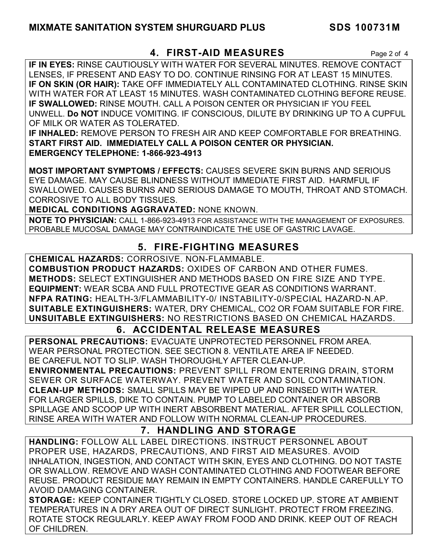#### **MIXMATE SANITATION SYSTEM SHURGUARD PLUS SDS 100731M**

#### **4. FIRST-AID MEASURES** Page 2 of 4

**IF IN EYES:** RINSE CAUTIOUSLY WITH WATER FOR SEVERAL MINUTES. REMOVE CONTACT LENSES, IF PRESENT AND EASY TO DO. CONTINUE RINSING FOR AT LEAST 15 MINUTES. **IF ON SKIN (OR HAIR):** TAKE OFF IMMEDIATELY ALL CONTAMINATED CLOTHING. RINSE SKIN WITH WATER FOR AT LEAST 15 MINUTES. WASH CONTAMINATED CLOTHING BEFORE REUSE. **IF SWALLOWED:** RINSE MOUTH. CALL A POISON CENTER OR PHYSICIAN IF YOU FEEL UNWELL. **Do NOT** INDUCE VOMITING. IF CONSCIOUS, DILUTE BY DRINKING UP TO A CUPFUL OF MILK OR WATER AS TOLERATED.

**IF INHALED:** REMOVE PERSON TO FRESH AIR AND KEEP COMFORTABLE FOR BREATHING. **START FIRST AID. IMMEDIATELY CALL A POISON CENTER OR PHYSICIAN. EMERGENCY TELEPHONE: 1-866-923-4913**

**MOST IMPORTANT SYMPTOMS / EFFECTS:** CAUSES SEVERE SKIN BURNS AND SERIOUS EYE DAMAGE. MAY CAUSE BLINDNESS WITHOUT IMMEDIATE FIRST AID. HARMFUL IF SWALLOWED. CAUSES BURNS AND SERIOUS DAMAGE TO MOUTH, THROAT AND STOMACH. CORROSIVE TO ALL BODY TISSUES.

**MEDICAL CONDITIONS AGGRAVATED:** NONE KNOWN.

**NOTE TO PHYSICIAN:** CALL 1-866-923-4913 FOR ASSISTANCE WITH THE MANAGEMENT OF EXPOSURES. PROBABLE MUCOSAL DAMAGE MAY CONTRAINDICATE THE USE OF GASTRIC LAVAGE.

#### **5. FIRE-FIGHTING MEASURES**

**CHEMICAL HAZARDS:** CORROSIVE. NON-FLAMMABLE.

**COMBUSTION PRODUCT HAZARDS:** OXIDES OF CARBON AND OTHER FUMES. **METHODS:** SELECT EXTINGUISHER AND METHODS BASED ON FIRE SIZE AND TYPE. **EQUIPMENT:** WEAR SCBA AND FULL PROTECTIVE GEAR AS CONDITIONS WARRANT. **NFPA RATING:** HEALTH-3/FLAMMABILITY-0/ INSTABILITY-0/SPECIAL HAZARD-N.AP. **SUITABLE EXTINGUISHERS:** WATER, DRY CHEMICAL, CO2 OR FOAM SUITABLE FOR FIRE. **UNSUITABLE EXTINGUISHERS:** NO RESTRICTIONS BASED ON CHEMICAL HAZARDS.

#### **6. ACCIDENTAL RELEASE MEASURES**

**PERSONAL PRECAUTIONS:** EVACUATE UNPROTECTED PERSONNEL FROM AREA. WEAR PERSONAL PROTECTION. SEE SECTION 8. VENTILATE AREA IF NEEDED. BE CAREFUL NOT TO SLIP. WASH THOROUGHLY AFTER CLEAN-UP.

**ENVIRONMENTAL PRECAUTIONS:** PREVENT SPILL FROM ENTERING DRAIN, STORM SEWER OR SURFACE WATERWAY. PREVENT WATER AND SOIL CONTAMINATION. **CLEAN-UP METHODS:** SMALL SPILLS MAY BE WIPED UP AND RINSED WITH WATER. FOR LARGER SPILLS, DIKE TO CONTAIN. PUMP TO LABELED CONTAINER OR ABSORB SPILLAGE AND SCOOP UP WITH INERT ABSORBENT MATERIAL. AFTER SPILL COLLECTION, RINSE AREA WITH WATER AND FOLLOW WITH NORMAL CLEAN-UP PROCEDURES.

#### **7. HANDLING AND STORAGE**

**HANDLING:** FOLLOW ALL LABEL DIRECTIONS. INSTRUCT PERSONNEL ABOUT PROPER USE, HAZARDS, PRECAUTIONS, AND FIRST AID MEASURES. AVOID INHALATION, INGESTION, AND CONTACT WITH SKIN, EYES AND CLOTHING. DO NOT TASTE OR SWALLOW. REMOVE AND WASH CONTAMINATED CLOTHING AND FOOTWEAR BEFORE REUSE. PRODUCT RESIDUE MAY REMAIN IN EMPTY CONTAINERS. HANDLE CAREFULLY TO AVOID DAMAGING CONTAINER.

**STORAGE:** KEEP CONTAINER TIGHTLY CLOSED. STORE LOCKED UP. STORE AT AMBIENT TEMPERATURES IN A DRY AREA OUT OF DIRECT SUNLIGHT. PROTECT FROM FREEZING. ROTATE STOCK REGULARLY. KEEP AWAY FROM FOOD AND DRINK. KEEP OUT OF REACH OF CHILDREN.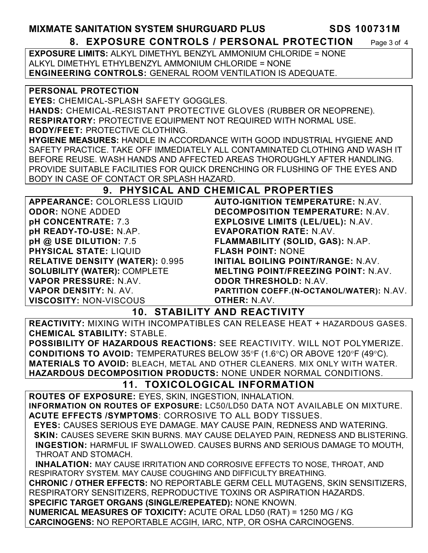**MIXMATE SANITATION SYSTEM SHURGUARD PLUS SDS 100731M 8. EXPOSURE CONTROLS / PERSONAL PROTECTION** Page 3 of 4

**EXPOSURE LIMITS:** ALKYL DIMETHYL BENZYL AMMONIUM CHLORIDE = NONE ALKYL DIMETHYL ETHYLBENZYL AMMONIUM CHLORIDE = NONE **ENGINEERING CONTROLS:** GENERAL ROOM VENTILATION IS ADEQUATE.

**PERSONAL PROTECTION** 

**EYES:** CHEMICAL-SPLASH SAFETY GOGGLES.

**HANDS:** CHEMICAL-RESISTANT PROTECTIVE GLOVES (RUBBER OR NEOPRENE). **RESPIRATORY:** PROTECTIVE EQUIPMENT NOT REQUIRED WITH NORMAL USE.

**BODY/FEET:** PROTECTIVE CLOTHING.

**HYGIENE MEASURES:** HANDLE IN ACCORDANCE WITH GOOD INDUSTRIAL HYGIENE AND SAFETY PRACTICE. TAKE OFF IMMEDIATELY ALL CONTAMINATED CLOTHING AND WASH IT BEFORE REUSE. WASH HANDS AND AFFECTED AREAS THOROUGHLY AFTER HANDLING. PROVIDE SUITABLE FACILITIES FOR QUICK DRENCHING OR FLUSHING OF THE EYES AND BODY IN CASE OF CONTACT OR SPLASH HAZARD.

#### **9. PHYSICAL AND CHEMICAL PROPERTIES**

**APPEARANCE:** COLORLESS LIQUID **ODOR:** NONE ADDED **pH CONCENTRATE:** 7.3 **pH READY-TO-USE:** N.AP. **pH @ USE DILUTION:** 7.5 **PHYSICAL STATE:** LIQUID **RELATIVE DENSITY (WATER):** 0.995 **SOLUBILITY (WATER):** COMPLETE **VAPOR PRESSURE:** N.AV. **VAPOR DENSITY:** N. AV. **VISCOSITY:** NON-VISCOUS **AUTO-IGNITION TEMPERATURE:** N.AV. **DECOMPOSITION TEMPERATURE:** N.AV. **EXPLOSIVE LIMITS (LEL/UEL):** N.AV. **EVAPORATION RATE:** N.AV. **FLAMMABILITY (SOLID, GAS):** N.AP. **FLASH POINT:** NONE **INITIAL BOILING POINT/RANGE:** N.AV. **MELTING POINT/FREEZING POINT:** N.AV. **ODOR THRESHOLD:** N.AV. **PARTITION COEFF.(N-OCTANOL/WATER):** N.AV. **OTHER:** N.AV.

#### **10. STABILITY AND REACTIVITY**

**REACTIVITY:** MIXING WITH INCOMPATIBLES CAN RELEASE HEAT + HAZARDOUS GASES. **CHEMICAL STABILITY:** STABLE.

**POSSIBILITY OF HAZARDOUS REACTIONS:** SEE REACTIVITY. WILL NOT POLYMERIZE. **CONDITIONS TO AVOID:** TEMPERATURES BELOW 35°F (1.6°C) OR ABOVE 120°F (49°C). **MATERIALS TO AVOID:** BLEACH, METAL AND OTHER CLEANERS. MIX ONLY WITH WATER. **HAZARDOUS DECOMPOSITION PRODUCTS:** NONE UNDER NORMAL CONDITIONS.

# **11. TOXICOLOGICAL INFORMATION**

**ROUTES OF EXPOSURE:** EYES, SKIN, INGESTION, INHALATION. **INFORMATION ON ROUTES OF EXPOSURE:** LC50/LD50 DATA NOT AVAILABLE ON MIXTURE. **ACUTE EFFECTS /SYMPTOMS**: CORROSIVE TO ALL BODY TISSUES.

 **EYES:** CAUSES SERIOUS EYE DAMAGE. MAY CAUSE PAIN, REDNESS AND WATERING.  **SKIN:** CAUSES SEVERE SKIN BURNS. MAY CAUSE DELAYED PAIN, REDNESS AND BLISTERING. **INGESTION:** HARMFUL IF SWALLOWED. CAUSES BURNS AND SERIOUS DAMAGE TO MOUTH, THROAT AND STOMACH.

 **INHALATION:** MAY CAUSE IRRITATION AND CORROSIVE EFFECTS TO NOSE, THROAT, AND RESPIRATORY SYSTEM. MAY CAUSE COUGHING AND DIFFICULTY BREATHING.

**CHRONIC / OTHER EFFECTS:** NO REPORTABLE GERM CELL MUTAGENS, SKIN SENSITIZERS, RESPIRATORY SENSITIZERS, REPRODUCTIVE TOXINS OR ASPIRATION HAZARDS.

**SPECIFIC TARGET ORGANS (SINGLE/REPEATED):** NONE KNOWN.

**NUMERICAL MEASURES OF TOXICITY:** ACUTE ORAL LD50 (RAT) = 1250 MG / KG **CARCINOGENS:** NO REPORTABLE ACGIH, IARC, NTP, OR OSHA CARCINOGENS.